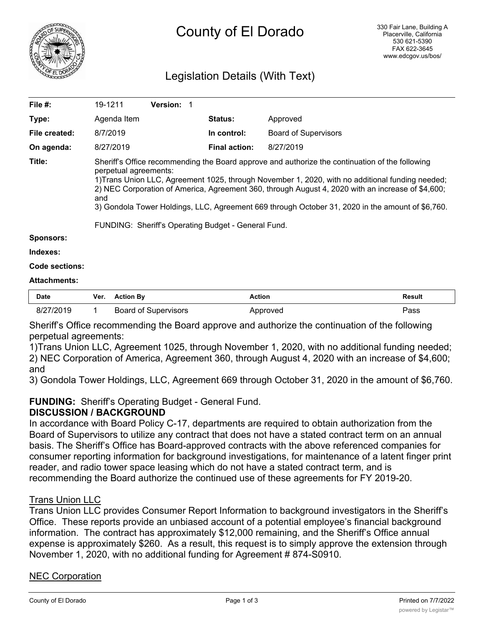

# Legislation Details (With Text)

| File #:           | 19-1211                                                                                                                                                                                                                                                                                                                                                                                                                                                                                             | Version: 1 |                      |                             |  |  |
|-------------------|-----------------------------------------------------------------------------------------------------------------------------------------------------------------------------------------------------------------------------------------------------------------------------------------------------------------------------------------------------------------------------------------------------------------------------------------------------------------------------------------------------|------------|----------------------|-----------------------------|--|--|
| Type:             | Agenda Item                                                                                                                                                                                                                                                                                                                                                                                                                                                                                         |            | <b>Status:</b>       | Approved                    |  |  |
| File created:     | 8/7/2019                                                                                                                                                                                                                                                                                                                                                                                                                                                                                            |            | In control:          | <b>Board of Supervisors</b> |  |  |
| On agenda:        | 8/27/2019                                                                                                                                                                                                                                                                                                                                                                                                                                                                                           |            | <b>Final action:</b> | 8/27/2019                   |  |  |
| Title:            | Sheriff's Office recommending the Board approve and authorize the continuation of the following<br>perpetual agreements:<br>1) Trans Union LLC, Agreement 1025, through November 1, 2020, with no additional funding needed;<br>2) NEC Corporation of America, Agreement 360, through August 4, 2020 with an increase of \$4,600;<br>and<br>3) Gondola Tower Holdings, LLC, Agreement 669 through October 31, 2020 in the amount of \$6,760.<br>FUNDING: Sheriff's Operating Budget - General Fund. |            |                      |                             |  |  |
| <b>C</b> noncoro: |                                                                                                                                                                                                                                                                                                                                                                                                                                                                                                     |            |                      |                             |  |  |

#### **Sponsors:**

#### **Indexes:**

#### **Code sections:**

#### **Attachments:**

| <b>Date</b> | Ver. | ction Bv.             | Action       | Result |
|-------------|------|-----------------------|--------------|--------|
|             |      | R∩ard<br>`upervisors` | <i>rovea</i> | ass'   |

Sheriff's Office recommending the Board approve and authorize the continuation of the following perpetual agreements:

1)Trans Union LLC, Agreement 1025, through November 1, 2020, with no additional funding needed; 2) NEC Corporation of America, Agreement 360, through August 4, 2020 with an increase of \$4,600; and

3) Gondola Tower Holdings, LLC, Agreement 669 through October 31, 2020 in the amount of \$6,760.

**FUNDING:** Sheriff's Operating Budget - General Fund.

## **DISCUSSION / BACKGROUND**

In accordance with Board Policy C-17, departments are required to obtain authorization from the Board of Supervisors to utilize any contract that does not have a stated contract term on an annual basis. The Sheriff's Office has Board-approved contracts with the above referenced companies for consumer reporting information for background investigations, for maintenance of a latent finger print reader, and radio tower space leasing which do not have a stated contract term, and is recommending the Board authorize the continued use of these agreements for FY 2019-20.

### Trans Union LLC

Trans Union LLC provides Consumer Report Information to background investigators in the Sheriff's Office. These reports provide an unbiased account of a potential employee's financial background information. The contract has approximately \$12,000 remaining, and the Sheriff's Office annual expense is approximately \$260. As a result, this request is to simply approve the extension through November 1, 2020, with no additional funding for Agreement # 874-S0910.

### NEC Corporation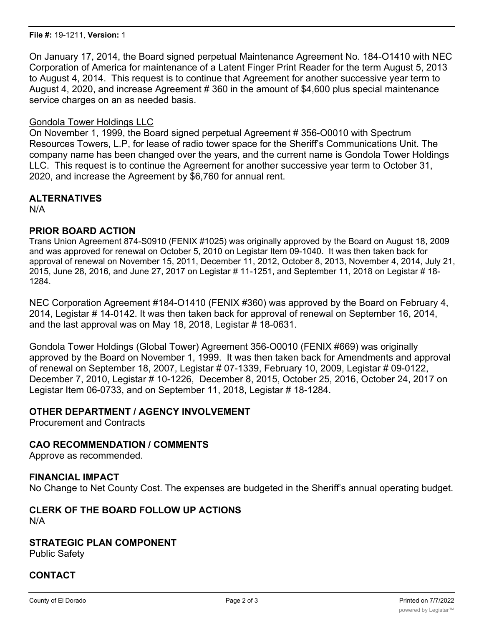On January 17, 2014, the Board signed perpetual Maintenance Agreement No. 184-O1410 with NEC Corporation of America for maintenance of a Latent Finger Print Reader for the term August 5, 2013 to August 4, 2014. This request is to continue that Agreement for another successive year term to August 4, 2020, and increase Agreement # 360 in the amount of \$4,600 plus special maintenance service charges on an as needed basis.

### Gondola Tower Holdings LLC

On November 1, 1999, the Board signed perpetual Agreement # 356-O0010 with Spectrum Resources Towers, L.P, for lease of radio tower space for the Sheriff's Communications Unit. The company name has been changed over the years, and the current name is Gondola Tower Holdings LLC. This request is to continue the Agreement for another successive year term to October 31, 2020, and increase the Agreement by \$6,760 for annual rent.

# **ALTERNATIVES**

N/A

## **PRIOR BOARD ACTION**

Trans Union Agreement 874-S0910 (FENIX #1025) was originally approved by the Board on August 18, 2009 and was approved for renewal on October 5, 2010 on Legistar Item 09-1040. It was then taken back for approval of renewal on November 15, 2011, December 11, 2012, October 8, 2013, November 4, 2014, July 21, 2015, June 28, 2016, and June 27, 2017 on Legistar # 11-1251, and September 11, 2018 on Legistar # 18- 1284.

NEC Corporation Agreement #184-O1410 (FENIX #360) was approved by the Board on February 4, 2014, Legistar # 14-0142. It was then taken back for approval of renewal on September 16, 2014, and the last approval was on May 18, 2018, Legistar # 18-0631.

Gondola Tower Holdings (Global Tower) Agreement 356-O0010 (FENIX #669) was originally approved by the Board on November 1, 1999. It was then taken back for Amendments and approval of renewal on September 18, 2007, Legistar # 07-1339, February 10, 2009, Legistar # 09-0122, December 7, 2010, Legistar # 10-1226, December 8, 2015, October 25, 2016, October 24, 2017 on Legistar Item 06-0733, and on September 11, 2018, Legistar # 18-1284.

### **OTHER DEPARTMENT / AGENCY INVOLVEMENT**

Procurement and Contracts

# **CAO RECOMMENDATION / COMMENTS**

Approve as recommended.

# **FINANCIAL IMPACT**

No Change to Net County Cost. The expenses are budgeted in the Sheriff's annual operating budget.

### **CLERK OF THE BOARD FOLLOW UP ACTIONS** N/A

# **STRATEGIC PLAN COMPONENT**

Public Safety

# **CONTACT**